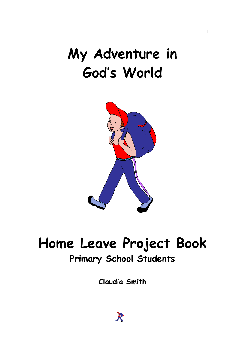## My Adventure in God's World

1



# Home Leave Project Book

#### Primary School Students

Claudia Smith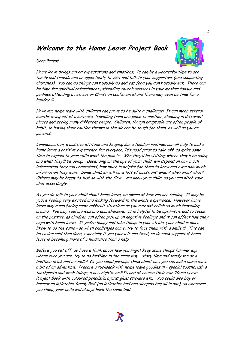#### Welcome to the Home Leave Project Book



Dear Parent

Home leave brings mixed expectations and emotions. It can be a wonderful time to see family and friends and an opportunity to visit and talk to your supporters (and supporting churches). You can do things can't usually do and eat food you don't usually eat. There can be time for spiritual refreshment (attending church services in your mother tongue and perhaps attending a retreat or Christian conference) and there may even be time for a holiday ☺

However, home leave with children can prove to be quite a challenge! It can mean several months living out of a suitcase, travelling from one place to another, sleeping in different places and seeing many different people. Children, though adaptable are often people of habit, so having their routine thrown in the air can be tough for them, as well as you as parents.

Communication, a positive attitude and keeping some familiar routines can all help to make home leave a positive experience for everyone. It's good prior to take off, to make some time to explain to your child what the plan is: Who they'll be visiting; where they'll be going and what they'll be doing. Depending on the age of your child, will depend on how much information they can understand, how much is helpful for them to know and even how much information they want. Some children will have lots of questions: when? why? who? what? Others may be happy to just go with the flow – you know your child, so you can pitch your chat accordingly.

As you do talk to your child about home leave, be aware of how you are feeling. It may be you're feeling very excited and looking forward to the whole experience. However home leave may mean facing some difficult situations or you may not relish so much travelling around. You may feel anxious and apprehensive. It is helpful to be optimistic and to focus on the positive, as children can often pick up on negative feelings and it can affect how they cope with home leave. If you're happy and take things in your stride, your child is more likely to do the same – so when challenges come, try to face them with a smile  $\odot$  This can be easier said than done, especially if you yourself are tired, so do seek support if home leave is becoming more of a hindrance than a help.

Before you set off, do have a think about how you might keep some things familiar e.g. where ever you are, try to do bedtime in the same way - story time and teddy too or a bedtime drink and a cuddle! Or you could perhaps think about how you can make home leave a bit of an adventure. Prepare a rucksack with home leave goodies in – special toothbrush & toothpaste and wash things; a new nightie or PJ's and of course their own 'Home Leave Project Book' with coloured pencils/crayons; glue; stickers etc. You could also buy or borrow an inflatable 'Ready Bed' (an inflatable bed and sleeping bag all in one), so wherever you sleep, your child will always have the same bed.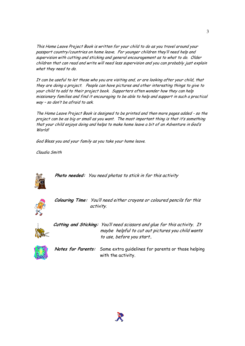This Home Leave Project Book is written for your child to do as you travel around your passport country/countries on home leave. For younger children they'll need help and supervision with cutting and sticking and general encouragement as to what to do. Older children that can read and write will need less supervision and you can probably just explain what they need to do.

It can be useful to let those who you are visiting and, or are looking after your child, that they are doing a project. People can have pictures and other interesting things to give to your child to add to their project book. Supporters often wonder how they can help missionary families and find it encouraging to be able to help and support in such a practical way – so don't be afraid to ask.

The Home Leave Project Book is designed to be printed and then more pages added - so the project can be as big or small as you want. The most important thing is that it's something that your child enjoys doing and helps to make home leave a bit of an Adventure in God's World!

God Bless you and your family as you take your home leave.

Claudia Smith



Photo needed: You need photos to stick in for this activity



 Colouring Time: You'll need either crayons or coloured pencils for this activity.



 Cutting and Sticking: You'll need scissors and glue for this activity. It maybe helpful to cut out pictures you child wants to use, before you start..



Notes for Parents: Some extra guidelines for parents or those helping with the activity.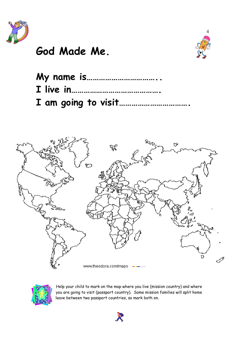

#### God Made Me.



| My name is |  |  |  |
|------------|--|--|--|
|            |  |  |  |
|            |  |  |  |





Help your child to mark on the map where you live (mission country) and where you are going to visit (passport country). Some mission families will split home leave between two passport countries, so mark both on.

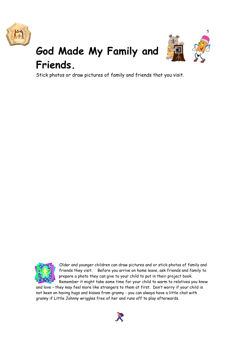



### God Made My Family and Friends.

Stick photos or draw pictures of family and friends that you visit.



Older and younger children can draw pictures and or stick photos of family and friends they visit. Before you arrive on home leave, ask friends and family to prepare a photo they can give to your child to put in their project book. Remember it might take some time for your child to warm to relatives you know

and love – they may feel more like strangers to them at first. Don't worry if your child is not keen on having hugs and kisses from granny - you can always have a little chat with granny if Little Johnny wriggles free of her and runs off to play afterwards.

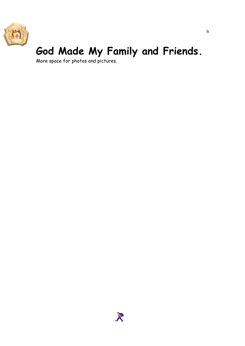

### God Made My Family and Friends.

More space for photos and pictures.

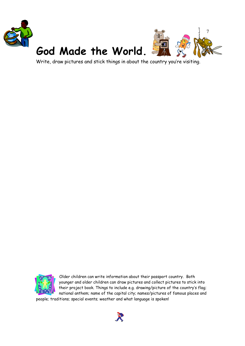

Write, draw pictures and stick things in about the country you're visiting.



Older children can write information about their passport country. Both younger and older children can draw pictures and collect pictures to stick into their project book. Things to include e.g. drawing/picture of the country's flag; national anthem; name of the capital city; names/pictures of famous places and

people; traditions; special events; weather and what language is spoken!

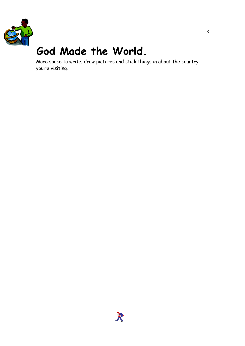

### God Made the World.

More space to write, draw pictures and stick things in about the country you're visiting.

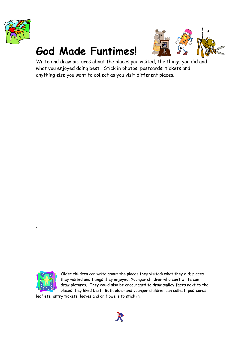

### God Made Funtimes!



Write and draw pictures about the places you visited, the things you did and what you enjoyed doing best. Stick in photos; postcards; tickets and anything else you want to collect as you visit different places.



.

Older children can write about the places they visited: what they did; places they visited and things they enjoyed. Younger children who can't write can draw pictures. They could also be encouraged to draw smiley faces next to the places they liked best. Both older and younger children can collect: postcards;

leaflets; entry tickets; leaves and or flowers to stick in.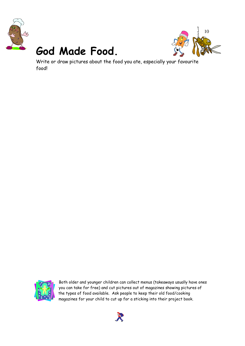

### God Made Food.



Write or draw pictures about the food you ate, especially your favourite food!



Both older and younger children can collect menus (takeaways usually have ones you can take for free) and cut pictures out of magazines showing pictures of the types of food available. Ask people to keep their old food/cooking magazines for your child to cut up for a sticking into their project book.

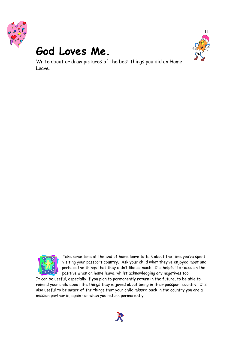

#### God Loves Me.



11

Write about or draw pictures of the best things you did on Home Leave.



Take some time at the end of home leave to talk about the time you've spent visiting your passport country. Ask your child what they've enjoyed most and perhaps the things that they didn't like so much. It's helpful to focus on the positive when on home leave, whilst acknowledging any negatives too.

It can be useful, especially if you plan to permanently return in the future, to be able to remind your child about the things they enjoyed about being in their passport country. It's also useful to be aware of the things that your child missed back in the country you are a mission partner in, again for when you return permanently.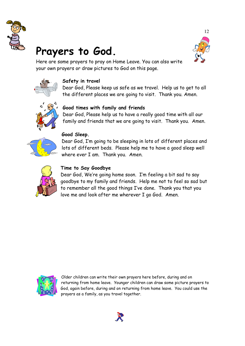

### Prayers to God.



Here are some prayers to pray on Home Leave. You can also write your own prayers or draw pictures to God on this page.



#### Safety in travel

Dear God, Please keep us safe as we travel. Help us to get to all the different places we are going to visit. Thank you. Amen.



#### Good times with family and friends

Dear God, Please help us to have a really good time with all our family and friends that we are going to visit. Thank you. Amen.



#### Good Sleep.

Dear God, I'm going to be sleeping in lots of different places and lots of different beds. Please help me to have a good sleep well where ever I am. Thank you. Amen.



#### Time to Say Goodbye

Dear God, We're going home soon. I'm feeling a bit sad to say goodbye to my family and friends. Help me not to feel so sad but to remember all the good things I've done. Thank you that you love me and look after me wherever I go God. Amen.



Older children can write their own prayers here before, during and on returning from home leave. Younger children can draw some picture prayers to God, again before, during and on returning from home leave. You could use the prayers as a family, as you travel together.

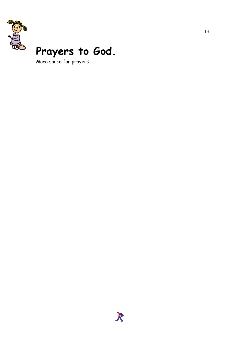

### Prayers to God.

More space for prayers